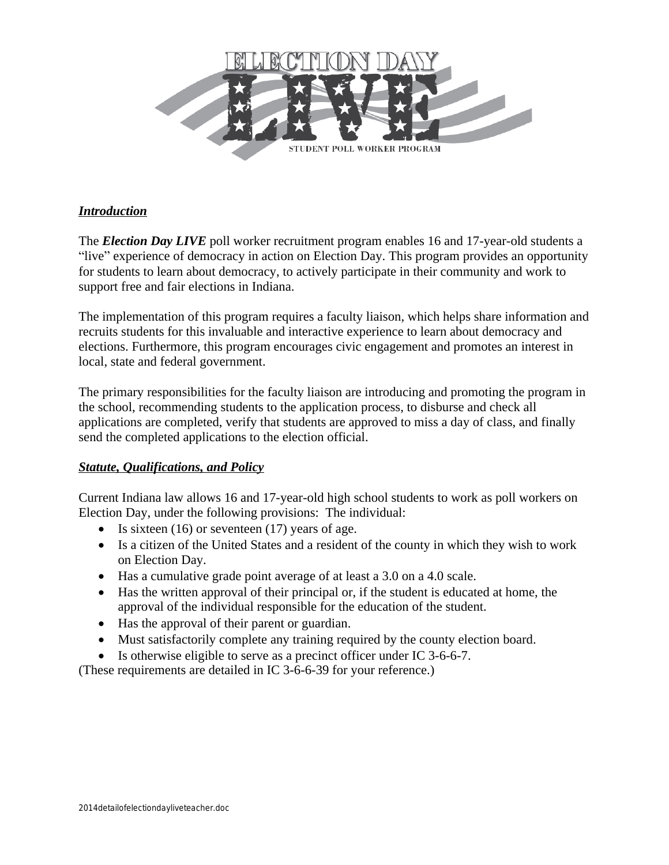

# *Introduction*

The *Election Day LIVE* poll worker recruitment program enables 16 and 17-year-old students a "live" experience of democracy in action on Election Day. This program provides an opportunity for students to learn about democracy, to actively participate in their community and work to support free and fair elections in Indiana.

The implementation of this program requires a faculty liaison, which helps share information and recruits students for this invaluable and interactive experience to learn about democracy and elections. Furthermore, this program encourages civic engagement and promotes an interest in local, state and federal government.

The primary responsibilities for the faculty liaison are introducing and promoting the program in the school, recommending students to the application process, to disburse and check all applications are completed, verify that students are approved to miss a day of class, and finally send the completed applications to the election official.

## *Statute, Qualifications, and Policy*

Current Indiana law allows 16 and 17-year-old high school students to work as poll workers on Election Day, under the following provisions: The individual:

- $\bullet$  Is sixteen (16) or seventeen (17) years of age.
- Is a citizen of the United States and a resident of the county in which they wish to work on Election Day.
- Has a cumulative grade point average of at least a 3.0 on a 4.0 scale.
- Has the written approval of their principal or, if the student is educated at home, the approval of the individual responsible for the education of the student.
- Has the approval of their parent or guardian.
- Must satisfactorily complete any training required by the county election board.
- Is otherwise eligible to serve as a precinct officer under IC 3-6-6-7.

(These requirements are detailed in IC 3-6-6-39 for your reference.)